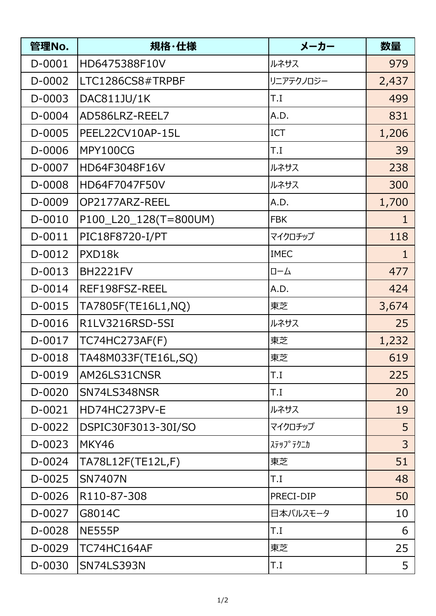| 管理No.    | 規格・仕様                 | メーカー          | 数量             |
|----------|-----------------------|---------------|----------------|
| D-0001   | HD6475388F10V         | ルネサス          | 979            |
| D-0002   | LTC1286CS8#TRPBF      | リニアテクノロジー     | 2,437          |
| D-0003   | DAC811JU/1K           | T.I           | 499            |
| D-0004   | AD586LRZ-REEL7        | A.D.          | 831            |
| D-0005   | PEEL22CV10AP-15L      | ICT           | 1,206          |
| D-0006   | MPY100CG              | I.T           | 39             |
| D-0007   | HD64F3048F16V         | ルネサス          | 238            |
| D-0008   | HD64F7047F50V         | ルネサス          | 300            |
| D-0009   | OP2177ARZ-REEL        | A.D.          | 1,700          |
| D-0010   | P100_L20_128(T=800UM) | <b>FBK</b>    | $\mathbf{1}$   |
| $D-0011$ | PIC18F8720-I/PT       | マイクロチップ       | 118            |
| D-0012   | PXD18k                | <b>IMEC</b>   | $\mathbf{1}$   |
| D-0013   | <b>BH2221FV</b>       | $\Box-\Delta$ | 477            |
| D-0014   | REF198FSZ-REEL        | A.D.          | 424            |
| D-0015   | TA7805F(TE16L1,NQ)    | 東芝            | 3,674          |
| D-0016   | R1LV3216RSD-5SI       | ルネサス          | 25             |
| D-0017   | TC74HC273AF(F)        | 東芝            | 1,232          |
| D-0018   | TA48M033F(TE16L,SQ)   | 東芝            | 619            |
| D-0019   | AM26LS31CNSR          | I.I           | 225            |
| D-0020   | SN74LS348NSR          | I.T           | 20             |
| D-0021   | HD74HC273PV-E         | ルネサス          | 19             |
| D-0022   | DSPIC30F3013-30I/SO   | マイクロチップ       | 5              |
| D-0023   | MKY46                 | ステッフ° テクニカ    | $\overline{3}$ |
| D-0024   | TA78L12F(TE12L,F)     | 東芝            | 51             |
| D-0025   | <b>SN7407N</b>        | I.T           | 48             |
| D-0026   | R110-87-308           | PRECI-DIP     | 50             |
| D-0027   | G8014C                | 日本パルスモータ      | 10             |
| D-0028   | <b>NE555P</b>         | T.I           | 6              |
| D-0029   | TC74HC164AF           | 東芝            | 25             |
| D-0030   | <b>SN74LS393N</b>     | T.I           | 5              |